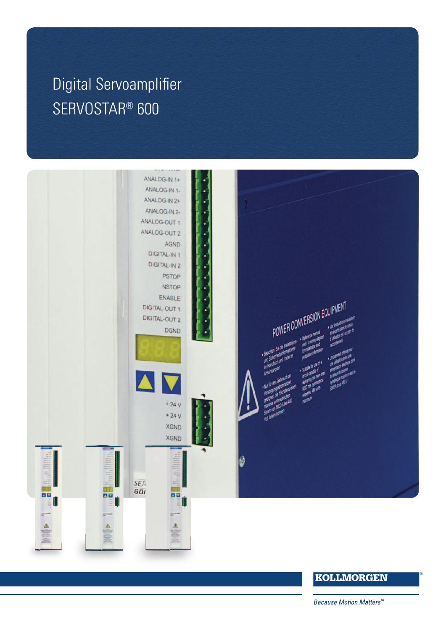# $K_{\rm A}$  (i.e.  $K_{\rm A}$  ) and  $K_{\rm A}$  (i.e.  $K_{\rm A}$  ) and  $K_{\rm A}$  (i.e.  $K_{\rm A}$  ) and  $K_{\rm A}$  (i.e.  $K_{\rm A}$  ) and  $K_{\rm A}$  (i.e.  $K_{\rm A}$  ) and  $K_{\rm A}$  (i.e.  $K_{\rm A}$  ) and  $K_{\rm A}$  (i.e.  $K_{\rm A}$  ) and  $K_{\rm A}$  (i Digital Servoamplifier<br>ers SERVOSTAR® 600



# **KOLLMORGEN**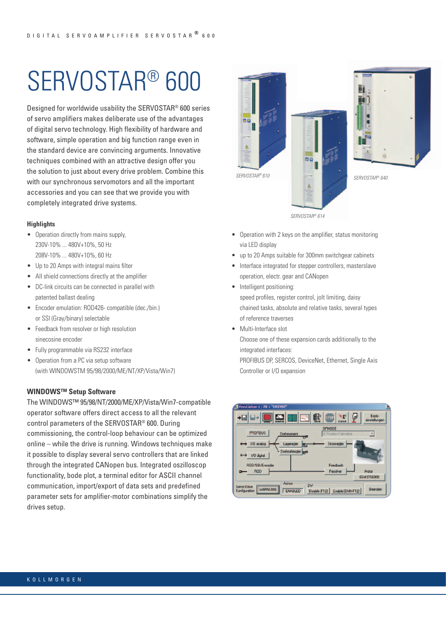# [SERVOSTAR® 600](http://www.kollmorgen.com/en-gb/products/drives/servo/serviced-drives/s600/s600-servo-drive/)

Designed for worldwide usability the SERVOSTAR® 600 series of servo amplifiers makes deliberate use of the advantages of digital servo technology. High flexibility of hardware and software, simple operation and big function range even in the standard device are convincing arguments. Innovative techniques combined with an attractive design offer you the solution to just about every drive problem. Combine this with our synchronous servomotors and all the important accessories and you can see that we provide you with completely integrated drive systems.

#### **Highlights**

- Operation directly from mains supply, 230V-10% ... 480V+10%, 50 Hz 208V-10% ... 480V+10%, 60 Hz
- Up to 20 Amps with integral mains filter
- All shield connections directly at the amplifier
- DC-link circuits can be connected in parallel with patented ballast dealing
- Encoder emulation: ROD426- compatible (dec./bin.) or SSI (Gray/binary) selectable
- Feedback from resolver or high resolution sinecosine encoder
- Fully programmable via RS232 interface
- Operation from a PC via setup software (with WINDOWSTM 95/98/2000/ME/NT/XP/Vista/Win7)

#### **WINDOWS™ Setup Software**

The WINDOWS™ 95/98/NT/2000/ME/XP/Vista/Win7-compatible operator software offers direct access to all the relevant control parameters of the SERVOSTAR® 600. During commissioning, the control-loop behaviour can be optimized online – while the drive is running. Windows techniques make it possible to display several servo controllers that are linked through the integrated CANopen bus. Integrated oszilloscop functionality, bode plot, a terminal editor for ASCII channel communication, import/export of data sets and predefined parameter sets for amplifier-motor combinations simplify the drives setup.





- Operation with 2 keys on the amplifier, status monitoring via LED display
- up to 20 Amps suitable for 300mm switchgear cabinets
- Interface integrated for stepper controllers, masterslave operation, electr. gear and CANopen
- Intelligent positioning: speed profiles, register control, jolt limiting, daisy chained tasks, absolute and relative tasks, several types of reference traverses
- Multi-Interface slot

Choose one of these expansion cards additionally to the integrated interfaces:

PROFIBUS DP, SERCOS, DeviceNet, Ethernet, Single Axis Controller or I/O expansion

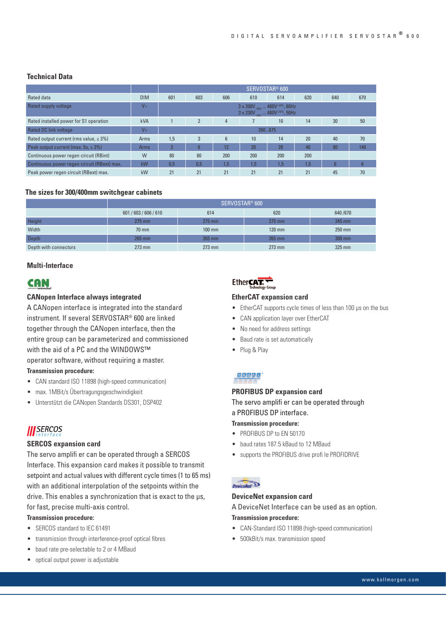#### **Technical Data**

|                                             |            | SERVOSTAR <sup>®</sup> 600                                                                                 |                          |     |                 |     |     |                |                 |
|---------------------------------------------|------------|------------------------------------------------------------------------------------------------------------|--------------------------|-----|-----------------|-----|-----|----------------|-----------------|
| Rated data                                  | <b>DIM</b> | 601                                                                                                        | 603                      | 606 | 610             | 614 | 620 | 640            | 670             |
| Rated supply voltage                        | $V_{\sim}$ | $3 \times 208V_{.10\%}$ 480V <sup>+10%</sup> , 60Hz<br>$3 \times 230V_{.10\%}$ 480V <sup>+10%</sup> , 50Hz |                          |     |                 |     |     |                |                 |
| Rated installed power for S1 operation      | <b>kVA</b> |                                                                                                            | $\overline{\phantom{a}}$ | 4   |                 | 10  | 14  | 30             | $50^{\circ}$    |
| Rated DC link voltage                       | $V =$      | 260675                                                                                                     |                          |     |                 |     |     |                |                 |
| Rated output current (rms value, $\pm$ 3%)  | Arms       | 1,5                                                                                                        | 3                        | 6   | 10 <sup>1</sup> | 14  | 20  | 40             | 70              |
| Peak output current (max. 5s, $\pm$ 3%)     | Arms       | 3                                                                                                          | 6                        | 12  | 20              | 28  | 40  | 80             | 140             |
| Continuous power regen circuit (RBint)      | W          | 80                                                                                                         | 80                       | 200 | 200             | 200 | 200 |                |                 |
| Continuous power regen circuit (RBext) max. | kW         | 0.5                                                                                                        | 0.5                      | 1,5 | 1,5             | 1.5 | 1.5 | $6\phantom{1}$ | $6\overline{6}$ |
| Peak power regen circuit (RBext) max.       | kW         | 21                                                                                                         | 21                       | 21  | 21              | 21  | 21  | 45             | 70              |

#### **The sizes for 300/400mm switchgear cabinets**

|                       | SERVOSTAR <sup>®</sup> 600 |          |          |          |  |  |  |  |  |
|-----------------------|----------------------------|----------|----------|----------|--|--|--|--|--|
|                       | 601 / 603 / 606 / 610      | 614      | 620      | 640/670  |  |  |  |  |  |
| Height                | $275$ mm                   | $275$ mm | $275$ mm | 345 mm   |  |  |  |  |  |
| Width                 | 70 mm                      | $100$ mm | $120$ mm | $250$ mm |  |  |  |  |  |
| Depth                 | $265$ mm                   | 265 mm   | 265 mm   | 300 mm   |  |  |  |  |  |
| Depth with connectors | $273$ mm                   | $273$ mm | $273$ mm | $325$ mm |  |  |  |  |  |

#### **Multi-Interface**

# **CAN**

#### **CANopen Interface always integrated**

A CANopen interface is integrated into the standard instrument. If several SERVOSTAR® 600 are linked together through the CANopen interface, then the entire group can be parameterized and commissioned with the aid of a PC and the WINDOWS™ operator software, without requiring a master.

#### **Transmission procedure:**

- CAN standard ISO 11898 (high-speed communication)
- max. 1MBit/s Übertragungsgeschwindigkeit
- Unterstützt die CANopen Standards DS301, DSP402

# **III** SERCOS

#### **SERCOS expansion card**

The servo amplifi er can be operated through a SERCOS Interface. This expansion card makes it possible to transmit setpoint and actual values with different cycle times (1 to 65 ms) with an additional interpolation of the setpoints within the drive. This enables a synchronization that is exact to the µs, for fast, precise multi-axis control.

#### **Transmission procedure:**

- SERCOS standard to IEC 61491
- transmission through interference-proof optical fibres
- baud rate pre-selectable to 2 or 4 MBaud
- optical output power is adjustable

# Ether**CAT.**

#### **EtherCAT expansion card**

- EtherCAT supports cycle times of less than 100 μs on the bus
- CAN application layer over EtherCAT
- No need for address settings
- Baud rate is set automatically
- Plug & Play

## PROFI

#### **PROFIBUS DP expansion card**

The servo amplifi er can be operated through a PROFIBUS DP interface.

#### **Transmission procedure:**

- PROFIBUS DP to EN 50170
- baud rates 187.5 kBaud to 12 MBaud
- supports the PROFIBUS drive profi le PROFIDRIVE

#### $DeviceNet$

#### **DeviceNet expansion card**

A DeviceNet Interface can be used as an option.

#### **Transmission procedure:**

- CAN-Standard ISO 11898 (high-speed communication)
- 500kBit/s max. transmission speed